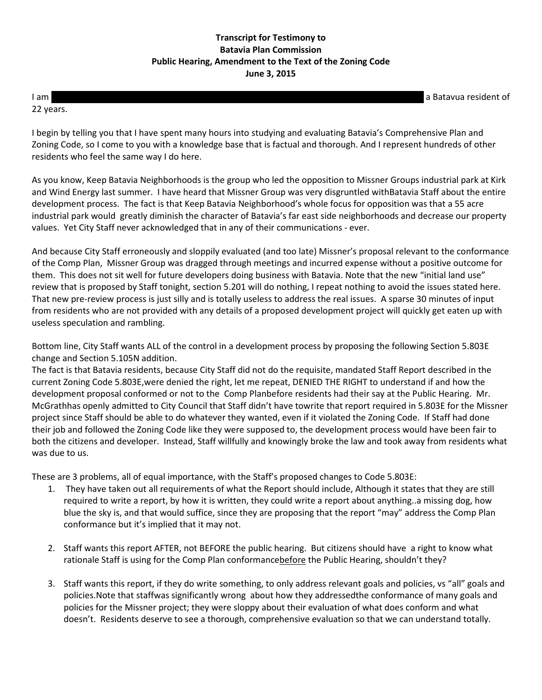### **Transcript for Testimony to Batavia Plan Commission Public Hearing, Amendment to the Text of the Zoning Code June 3, 2015**

I am Joyce Keane, Keane, Access and a 22 year resident of Batavia resident of Batavia, 2030 Wagner Rd. a Batavia, 2030 Wagner Rd. a Batavia, 2030 Wagner Rd. a Batavia, 2030 Wagner Rd. a Batavia, 2030 Wagner Rd. a Batavia,

22 years.

I begin by telling you that I have spent many hours into studying and evaluating Batavia's Comprehensive Plan and Zoning Code, so I come to you with a knowledge base that is factual and thorough. And I represent hundreds of other residents who feel the same way I do here.

As you know, Keep Batavia Neighborhoods is the group who led the opposition to Missner Groups industrial park at Kirk and Wind Energy last summer. I have heard that Missner Group was very disgruntled withBatavia Staff about the entire development process. The fact is that Keep Batavia Neighborhood's whole focus for opposition was that a 55 acre industrial park would greatly diminish the character of Batavia's far east side neighborhoods and decrease our property values. Yet City Staff never acknowledged that in any of their communications - ever.

And because City Staff erroneously and sloppily evaluated (and too late) Missner's proposal relevant to the conformance of the Comp Plan, Missner Group was dragged through meetings and incurred expense without a positive outcome for them. This does not sit well for future developers doing business with Batavia. Note that the new "initial land use" review that is proposed by Staff tonight, section 5.201 will do nothing, I repeat nothing to avoid the issues stated here. That new pre-review process is just silly and is totally useless to address the real issues. A sparse 30 minutes of input from residents who are not provided with any details of a proposed development project will quickly get eaten up with useless speculation and rambling.

Bottom line, City Staff wants ALL of the control in a development process by proposing the following Section 5.803E change and Section 5.105N addition.

The fact is that Batavia residents, because City Staff did not do the requisite, mandated Staff Report described in the current Zoning Code 5.803E,were denied the right, let me repeat, DENIED THE RIGHT to understand if and how the development proposal conformed or not to the Comp Planbefore residents had their say at the Public Hearing. Mr. McGrathhas openly admitted to City Council that Staff didn't have towrite that report required in 5.803E for the Missner project since Staff should be able to do whatever they wanted, even if it violated the Zoning Code. If Staff had done their job and followed the Zoning Code like they were supposed to, the development process would have been fair to both the citizens and developer. Instead, Staff willfully and knowingly broke the law and took away from residents what was due to us.

These are 3 problems, all of equal importance, with the Staff's proposed changes to Code 5.803E:

- 1. They have taken out all requirements of what the Report should include, Although it states that they are still required to write a report, by how it is written, they could write a report about anything..a missing dog, how blue the sky is, and that would suffice, since they are proposing that the report "may" address the Comp Plan conformance but it's implied that it may not.
- 2. Staff wants this report AFTER, not BEFORE the public hearing. But citizens should have a right to know what rationale Staff is using for the Comp Plan conformancebefore the Public Hearing, shouldn't they?
- 3. Staff wants this report, if they do write something, to only address relevant goals and policies, vs "all" goals and policies.Note that staffwas significantly wrong about how they addressedthe conformance of many goals and policies for the Missner project; they were sloppy about their evaluation of what does conform and what doesn't. Residents deserve to see a thorough, comprehensive evaluation so that we can understand totally.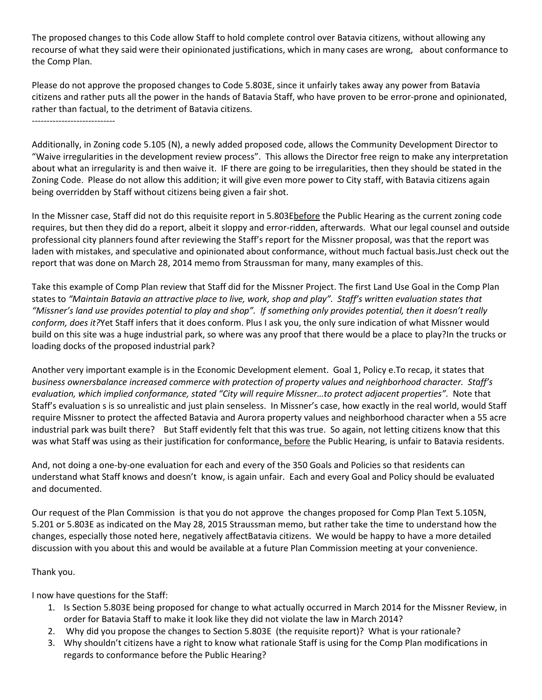The proposed changes to this Code allow Staff to hold complete control over Batavia citizens, without allowing any recourse of what they said were their opinionated justifications, which in many cases are wrong, about conformance to the Comp Plan.

Please do not approve the proposed changes to Code 5.803E, since it unfairly takes away any power from Batavia citizens and rather puts all the power in the hands of Batavia Staff, who have proven to be error-prone and opinionated, rather than factual, to the detriment of Batavia citizens.

----------------------------

Additionally, in Zoning code 5.105 (N), a newly added proposed code, allows the Community Development Director to "Waive irregularities in the development review process". This allows the Director free reign to make any interpretation about what an irregularity is and then waive it. IF there are going to be irregularities, then they should be stated in the Zoning Code. Please do not allow this addition; it will give even more power to City staff, with Batavia citizens again being overridden by Staff without citizens being given a fair shot.

In the Missner case, Staff did not do this requisite report in 5.803Ebefore the Public Hearing as the current zoning code requires, but then they did do a report, albeit it sloppy and error-ridden, afterwards. What our legal counsel and outside professional city planners found after reviewing the Staff's report for the Missner proposal, was that the report was laden with mistakes, and speculative and opinionated about conformance, without much factual basis.Just check out the report that was done on March 28, 2014 memo from Straussman for many, many examples of this.

Take this example of Comp Plan review that Staff did for the Missner Project. The first Land Use Goal in the Comp Plan states to *"Maintain Batavia an attractive place to live, work, shop and play". Staff's written evaluation states that "Missner's land use provides potential to play and shop". If something only provides potential, then it doesn't really conform, does it?*Yet Staff infers that it does conform. Plus I ask you, the only sure indication of what Missner would build on this site was a huge industrial park, so where was any proof that there would be a place to play?In the trucks or loading docks of the proposed industrial park?

Another very important example is in the Economic Development element. Goal 1, Policy e.To recap, it states that *business ownersbalance increased commerce with protection of property values and neighborhood character. Staff's evaluation, which implied conformance, stated "City will require Missner…to protect adjacent properties".* Note that Staff's evaluation s is so unrealistic and just plain senseless. In Missner's case, how exactly in the real world, would Staff require Missner to protect the affected Batavia and Aurora property values and neighborhood character when a 55 acre industrial park was built there? But Staff evidently felt that this was true. So again, not letting citizens know that this was what Staff was using as their justification for conformance, before the Public Hearing, is unfair to Batavia residents.

And, not doing a one-by-one evaluation for each and every of the 350 Goals and Policies so that residents can understand what Staff knows and doesn't know, is again unfair. Each and every Goal and Policy should be evaluated and documented.

Our request of the Plan Commission is that you do not approve the changes proposed for Comp Plan Text 5.105N, 5.201 or 5.803E as indicated on the May 28, 2015 Straussman memo, but rather take the time to understand how the changes, especially those noted here, negatively affectBatavia citizens. We would be happy to have a more detailed discussion with you about this and would be available at a future Plan Commission meeting at your convenience.

#### Thank you.

I now have questions for the Staff:

- 1. Is Section 5.803E being proposed for change to what actually occurred in March 2014 for the Missner Review, in order for Batavia Staff to make it look like they did not violate the law in March 2014?
- 2. Why did you propose the changes to Section 5.803E (the requisite report)? What is your rationale?
- 3. Why shouldn't citizens have a right to know what rationale Staff is using for the Comp Plan modifications in regards to conformance before the Public Hearing?